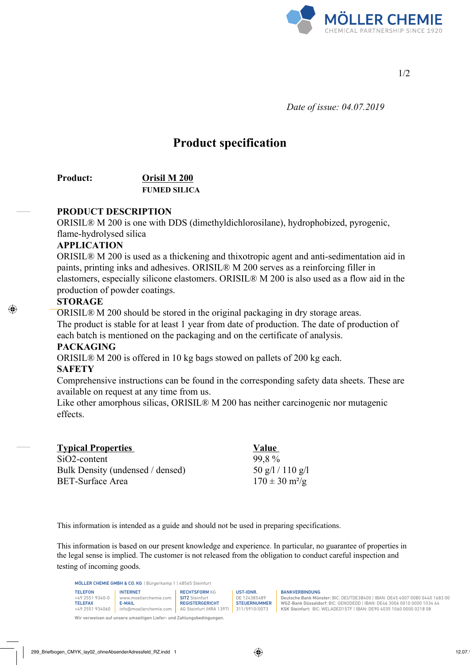

1/2

 *Date of issue: 04.07.2019*

# **Product specification**

## **Product: Orisil M 200 FUMED SILICA**

## **PRODUCT DESCRIPTION**

ORISIL® M 200 is one with DDS (dimethyldichlorosilane), hydrophobized, pyrogenic, flame-hydrolysed silica

#### **APPLICATION**

ORISIL® M 200 is used as a thickening and thixotropic agent and anti-sedimentation aid in paints, printing inks and adhesives. ORISIL® M 200 serves as a reinforcing filler in elastomers, especially silicone elastomers. ORISIL® M 200 is also used as a flow aid in the production of powder coatings.

#### **STORAGE**

ORISIL® M 200 should be stored in the original packaging in dry storage areas. The product is stable for at least 1 year from date of production. The date of production of each batch is mentioned on the packaging and on the certificate of analysis.

## **PACKAGING**

ORISIL® M 200 is offered in 10 kg bags stowed on pallets of 200 kg each.

## **SAFETY**

Comprehensive instructions can be found in the corresponding safety data sheets. These are available on request at any time from us.

Like other amorphous silicas, ORISIL® M 200 has neither carcinogenic nor mutagenic effects.

| <b>Typical Properties</b>        | Value                                           |
|----------------------------------|-------------------------------------------------|
| $SiO2$ -content                  | 99.8%                                           |
| Bulk Density (undensed / densed) | $50 \frac{\text{g}}{1110 \frac{\text{g}}{110}}$ |
| BET-Surface Area                 | $170 \pm 30$ m <sup>2</sup> /g                  |

This information is intended as a guide and should not be used in preparing specifications.

This information is based on our present knowledge and experience. In particular, no guarantee of properties in the legal sense is implied. The customer is not released from the obligation to conduct careful inspection and testing of incoming goods.

MÖLLER CHEMIE GMBH & CO. KG | Bürgerkamp 1 | 48565 Steinfurt

| <b>The count of the coupled of a state of the state of the state of the state of the state of the state of the state of the state of the state of the state of the state of the state of the state of the state of the state of</b> |                        |                         |                     |  |  |
|-------------------------------------------------------------------------------------------------------------------------------------------------------------------------------------------------------------------------------------|------------------------|-------------------------|---------------------|--|--|
| <b>TELEFON</b>                                                                                                                                                                                                                      | <b>INTERNET</b>        | <b>RECHTSFORM KG</b>    | UST-IDNR.           |  |  |
| $+4925519340 - 0$                                                                                                                                                                                                                   | www.moellerchemie.com  | <b>SITZ</b> Steinfurt   | DE 124385489        |  |  |
| <b>TELEFAX</b>                                                                                                                                                                                                                      | E-MAIL                 | <b>REGISTERGERICHT</b>  | <b>STEUERNUMMER</b> |  |  |
| +49 2551 934060                                                                                                                                                                                                                     | info@moellerchemie.com | AG Steinfurt (HRA 1397) | 311/5910/0073       |  |  |

Wir verweisen auf unsere umseitigen Liefer- und Zahlungsbedingungen.

BANKVERBINDUNG

Deutsche Bank Münster: BIC: DEUTDE3B400 | IBAN: DE45 4007 0080 0440 1683 00 WGZ-Bank Düsseldorf: BIC: GENODEDD | IBAN: DE46 3006 0010 0000 1034 64 KSK Steinfurt: BIC: WELADED1STF | IBAN: DE90 4035 1060 0000 0218 08